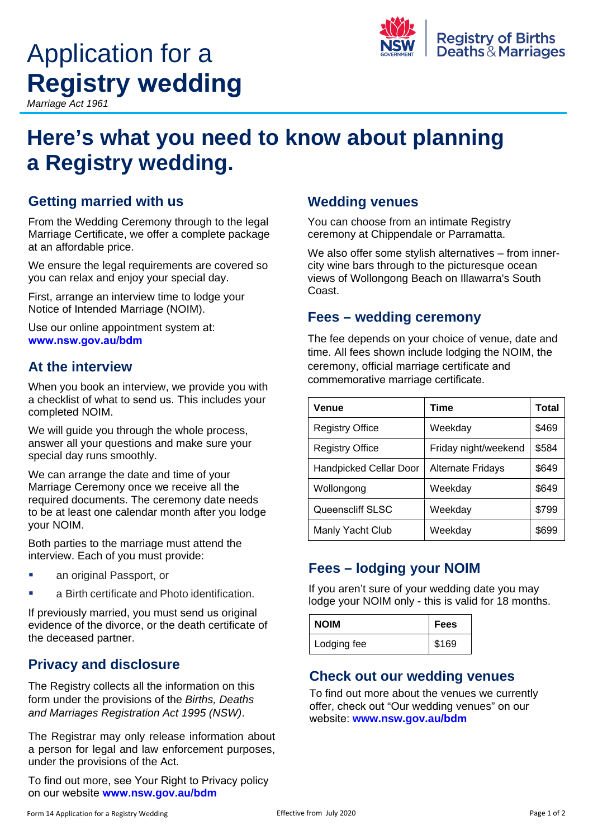# Application for a **R e g i s try wedding**

*Marr iage Ac t 1961*



## **Here's what you need to know about planning a Registry wedding.**

#### **Getting married with us**

From the Wedding Ceremony through to the legal Marriage Certificate, we offer a complete package at an affordable price.

We ensure the legal requirements are covered so you can relax and enjoy your special day.

First, arrange an interview time to lodge your Notice of Intended Marriage (NOIM).

Use our online appointment system at: **www.nsw.gov.au/bdm**

#### **At the interview**

When you book an interview, we provide you with a checklist of what to send us. This includes your completed NOIM.

We will quide you through the whole process, answer all your questions and make sure your special day runs smoothly.

We can arrange the date and time of your Marriage Ceremony once we receive all the required documents. The ceremony date needs to be at least one calendar month after you lodge your NOIM.

Both parties to the marriage must attend the interview. Each of you must provide:

- an original Passport, or
- a Birth certificate and Photo identification.

If previously married, you must send us original evidence of the divorce, or the death certificate of the deceased partner.

#### **Privacy and disclosure**

The Registry collects all the information on this form under the provisions of the *Births, Deaths and Marriages Registration Act 1995 (NSW)*.

The Registrar may only release information about a person for legal and law enforcement purposes, under the provisions of the Act.

To find out more, see Your Right to Privacy policy on our website **www.nsw.gov.au/bdm**

#### **Wedding venues**

You can choose from an intimate Registry ceremony at Chippendale or Parramatta.

We also offer some stylish alternatives – from innercity wine bars through to the picturesque ocean views of Wollongong Beach on Illawarra's South Coast.

#### **Fees – wedding ceremony**

The fee depends on your choice of venue, date and time. All fees shown include lodging the NOIM, the ceremony, official marriage certificate and commemorative marriage certificate.

| Venue                         | Time                     | Total |
|-------------------------------|--------------------------|-------|
| <b>Registry Office</b>        | Weekday                  | \$469 |
| <b>Registry Office</b>        | Friday night/weekend     | \$584 |
| <b>Handpicked Cellar Door</b> | <b>Alternate Fridays</b> | \$649 |
| Wollongong                    | Weekday                  | \$649 |
| <b>Queenscliff SLSC</b>       | Weekday                  | \$799 |
| Manly Yacht Club              | Weekday                  | \$699 |

#### **Fees – lodging your NOIM**

If you aren't sure of your wedding date you may lodge your NOIM only - this is valid for 18 months.

| <b>NOIM</b> | l Fees |
|-------------|--------|
| Lodging fee | \$169  |

#### **Check out our wedding venues**

To find out more about the venues we currently offer, check out "Our wedding venues" on our website: **www.nsw.gov.au/bdm**